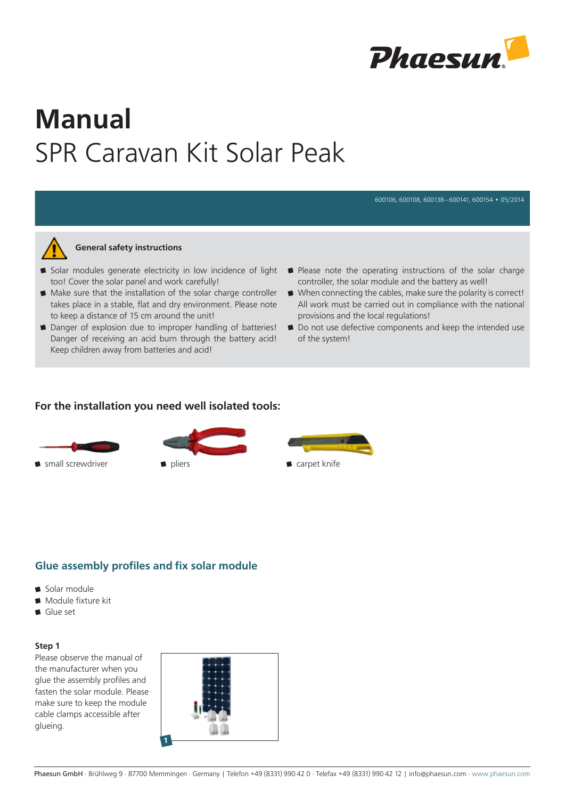

600106, 600108, 600138–600141, 600154 • 05/2014

# Manual SPR Caravan Kit Solar Peak



### General safety instructions

- Solar modules generate electricity in low incidence of light too! Cover the solar panel and work carefully!
- Make sure that the installation of the solar charge controller takes place in a stable, flat and dry environment. Please note to keep a distance of 15 cm around the unit!
- Danger of explosion due to improper handling of batteries! Danger of receiving an acid burn through the battery acid! Keep children away from batteries and acid!
- Please note the operating instructions of the solar charge controller, the solar module and the battery as well!
- When connecting the cables, make sure the polarity is correct! All work must be carried out in compliance with the national provisions and the local regulations!
- Do not use defective components and keep the intended use of the system!

## For the installation you need well isolated tools:







## Glue assembly profiles and fix solar module

- Solar module
- Module fixture kit
- Glue set

#### Step 1

Please observe the manual of the manufacturer when you glue the assembly profiles and fasten the solar module. Please make sure to keep the module cable clamps accessible after glueing.